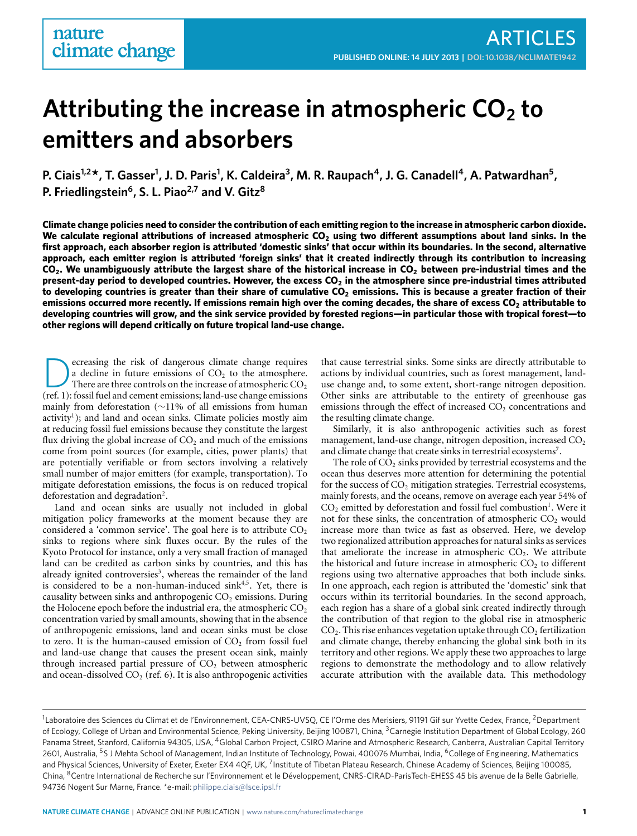# **Attributing the increase in atmospheric CO<sup>2</sup> to emitters and absorbers**

**P. Ciais1,2\*, T. Gasser<sup>1</sup> , J. D. Paris<sup>1</sup> , K. Caldeira<sup>3</sup> , M. R. Raupach<sup>4</sup> , J. G. Canadell<sup>4</sup> , A. Patwardhan<sup>5</sup> , P. Friedlingstein<sup>6</sup> , S. L. Piao2,7 and V. Gitz<sup>8</sup>**

**Climate change policies need to consider the contribution of each emitting region to the increase in atmospheric carbon dioxide. We calculate regional attributions of increased atmospheric CO<sup>2</sup> using two different assumptions about land sinks. In the first approach, each absorber region is attributed 'domestic sinks' that occur within its boundaries. In the second, alternative approach, each emitter region is attributed 'foreign sinks' that it created indirectly through its contribution to increasing CO2. We unambiguously attribute the largest share of the historical increase in CO<sup>2</sup> between pre-industrial times and the present-day period to developed countries. However, the excess CO<sup>2</sup> in the atmosphere since pre-industrial times attributed to developing countries is greater than their share of cumulative CO<sup>2</sup> emissions. This is because a greater fraction of their emissions occurred more recently. If emissions remain high over the coming decades, the share of excess CO<sup>2</sup> attributable to developing countries will grow, and the sink service provided by forested regions—in particular those with tropical forest—to other regions will depend critically on future tropical land-use change.**

**Example 1** a decline in future emissions of  $CO<sub>2</sub>$  to the atmosphere.<br>There are three controls on the increase of atmospheric  $CO<sub>2</sub>$  (ref. [1\)](#page-4-0): fossil fuel and cement emissions; land-use change emissions ecreasing the risk of dangerous climate change requires a decline in future emissions of  $CO<sub>2</sub>$  to the atmosphere. There are three controls on the increase of atmospheric  $CO<sub>2</sub>$ mainly from deforestation (∼11% of all emissions from human activity<sup>[1](#page-4-0)</sup>); and land and ocean sinks. Climate policies mostly aim at reducing fossil fuel emissions because they constitute the largest flux driving the global increase of  $CO<sub>2</sub>$  and much of the emissions come from point sources (for example, cities, power plants) that are potentially verifiable or from sectors involving a relatively small number of major emitters (for example, transportation). To mitigate deforestation emissions, the focus is on reduced tropical deforestation and degradation<sup>[2](#page-4-1)</sup>.

Land and ocean sinks are usually not included in global mitigation policy frameworks at the moment because they are considered a 'common service'. The goal here is to attribute  $CO<sub>2</sub>$ sinks to regions where sink fluxes occur. By the rules of the Kyoto Protocol for instance, only a very small fraction of managed land can be credited as carbon sinks by countries, and this has already ignited controversies<sup>[3](#page-4-2)</sup>, whereas the remainder of the land is considered to be a non-human-induced sink<sup>[4,](#page-4-3)[5](#page-4-4)</sup>. Yet, there is causality between sinks and anthropogenic  $CO<sub>2</sub>$  emissions. During the Holocene epoch before the industrial era, the atmospheric  $CO<sub>2</sub>$ concentration varied by small amounts, showing that in the absence of anthropogenic emissions, land and ocean sinks must be close to zero. It is the human-caused emission of  $CO<sub>2</sub>$  from fossil fuel and land-use change that causes the present ocean sink, mainly through increased partial pressure of  $CO<sub>2</sub>$  between atmospheric and ocean-dissolved  $CO<sub>2</sub>$  (ref. [6\)](#page-4-5). It is also anthropogenic activities

that cause terrestrial sinks. Some sinks are directly attributable to actions by individual countries, such as forest management, landuse change and, to some extent, short-range nitrogen deposition. Other sinks are attributable to the entirety of greenhouse gas emissions through the effect of increased  $CO<sub>2</sub>$  concentrations and the resulting climate change.

Similarly, it is also anthropogenic activities such as forest management, land-use change, nitrogen deposition, increased CO<sub>2</sub> and climate change that create sinks in terrestrial ecosystems<sup>[7](#page-4-6)</sup>.

The role of  $CO<sub>2</sub>$  sinks provided by terrestrial ecosystems and the ocean thus deserves more attention for determining the potential for the success of  $CO<sub>2</sub>$  mitigation strategies. Terrestrial ecosystems, mainly forests, and the oceans, remove on average each year 54% of  $CO<sub>2</sub>$  emitted by deforestation and fossil fuel combustion<sup>[1](#page-4-0)</sup>. Were it not for these sinks, the concentration of atmospheric  $CO<sub>2</sub>$  would increase more than twice as fast as observed. Here, we develop two regionalized attribution approaches for natural sinks as services that ameliorate the increase in atmospheric  $CO<sub>2</sub>$ . We attribute the historical and future increase in atmospheric  $CO<sub>2</sub>$  to different regions using two alternative approaches that both include sinks. In one approach, each region is attributed the 'domestic' sink that occurs within its territorial boundaries. In the second approach, each region has a share of a global sink created indirectly through the contribution of that region to the global rise in atmospheric  $CO<sub>2</sub>$ . This rise enhances vegetation uptake through  $CO<sub>2</sub>$  fertilization and climate change, thereby enhancing the global sink both in its territory and other regions. We apply these two approaches to large regions to demonstrate the methodology and to allow relatively accurate attribution with the available data. This methodology

<sup>&</sup>lt;sup>1</sup>Laboratoire des Sciences du Climat et de l'Environnement, CEA-CNRS-UVSQ, CE l'Orme des Merisiers, 91191 Gif sur Yvette Cedex, France, <sup>2</sup>Department of Ecology, College of Urban and Environmental Science, Peking University, Beijing 100871, China, <sup>3</sup>Carnegie Institution Department of Global Ecology, 260 Panama Street, Stanford, California 94305, USA, <sup>4</sup>Global Carbon Project, CSIRO Marine and Atmospheric Research, Canberra, Australian Capital Territory 2601, Australia, <sup>5</sup>S J Mehta School of Management, Indian Institute of Technology, Powai, 400076 Mumbai, India, <sup>6</sup>College of Engineering, Mathematics and Physical Sciences, University of Exeter, Exeter EX4 4QF, UK, <sup>7</sup>Institute of Tibetan Plateau Research, Chinese Academy of Sciences, Beijing 100085, China, <sup>8</sup>Centre International de Recherche sur l'Environnement et le Développement, CNRS-CIRAD-ParisTech-EHESS 45 bis avenue de la Belle Gabrielle, 94736 Nogent Sur Marne, France. \*e-mail: [philippe.ciais@lsce.ipsl.fr](mailto:philippe.ciais@lsce.ipsl.fr)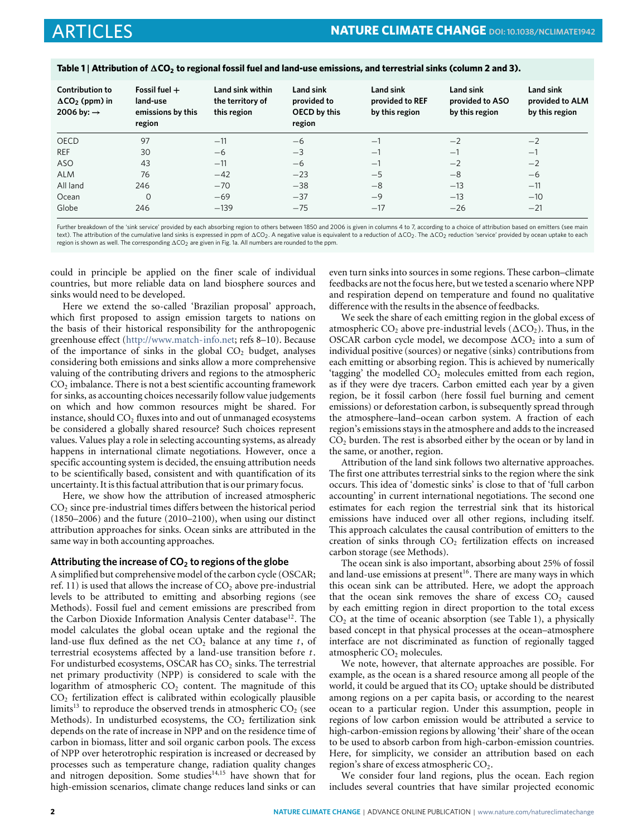| <b>Contribution to</b><br>$\Delta CO_2$ (ppm) in<br>2006 by: $\rightarrow$ | Fossil fuel $+$<br>land-use<br>emissions by this<br>region | Land sink within<br>the territory of<br>this region | Land sink<br>provided to<br>OECD by this<br>region | Land sink<br>provided to REF<br>by this region | Land sink<br>provided to ASO<br>by this region | Land sink<br>provided to ALM<br>by this region |
|----------------------------------------------------------------------------|------------------------------------------------------------|-----------------------------------------------------|----------------------------------------------------|------------------------------------------------|------------------------------------------------|------------------------------------------------|
| <b>OECD</b>                                                                | 97                                                         | $-11$                                               | $-6$                                               | $-1$                                           | $-2$                                           | $-2$                                           |
| <b>REF</b>                                                                 | 30                                                         | $-6$                                                | $-3$                                               | $-1$                                           | $-1$                                           | $-1$                                           |
| <b>ASO</b>                                                                 | 43                                                         | $-11$                                               | $-6$                                               | $-1$                                           | $-2$                                           | $-2$                                           |
| <b>ALM</b>                                                                 | 76                                                         | $-42$                                               | $-23$                                              | $-5$                                           | $-8$                                           | $-6$                                           |
| All land                                                                   | 246                                                        | $-70$                                               | $-38$                                              | $-8$                                           | $-13$                                          | $-11$                                          |
| Ocean                                                                      | $\Omega$                                                   | $-69$                                               | $-37$                                              | $-9$                                           | $-13$                                          | $-10$                                          |
| Globe                                                                      | 246                                                        | $-139$                                              | $-75$                                              | $-17$                                          | $-26$                                          | $-21$                                          |

#### <span id="page-1-0"></span>**Table 1** | **Attribution of** 1**CO<sup>2</sup> to regional fossil fuel and land-use emissions, and terrestrial sinks (column 2 and 3).**

Further breakdown of the 'sink service' provided by each absorbing region to others between 1850 and 2006 is given in columns 4 to 7, according to a choice of attribution based on emitters (see main text). The attribution of the cumulative land sinks is expressed in ppm of  $\Delta CO_2$ . A negative value is equivalent to a reduction of  $\Delta CO_2$ . The  $\Delta CO_2$  reduction 'service' provided by ocean uptake to each region is shown as well. The corresponding  $\Delta CO_2$  are given in [Fig.](#page-2-0) [1a](#page-2-0). All numbers are rounded to the ppm.

could in principle be applied on the finer scale of individual countries, but more reliable data on land biosphere sources and sinks would need to be developed.

Here we extend the so-called 'Brazilian proposal' approach, which first proposed to assign emission targets to nations on the basis of their historical responsibility for the anthropogenic greenhouse effect [\(http://www.match-info.net;](http://www.match-info.net) refs [8–](#page-4-7)[10\)](#page-4-8). Because of the importance of sinks in the global  $CO<sub>2</sub>$  budget, analyses considering both emissions and sinks allow a more comprehensive valuing of the contributing drivers and regions to the atmospheric  $CO<sub>2</sub>$  imbalance. There is not a best scientific accounting framework for sinks, as accounting choices necessarily follow value judgements on which and how common resources might be shared. For instance, should  $CO<sub>2</sub>$  fluxes into and out of unmanaged ecosystems be considered a globally shared resource? Such choices represent values. Values play a role in selecting accounting systems, as already happens in international climate negotiations. However, once a specific accounting system is decided, the ensuing attribution needs to be scientifically based, consistent and with quantification of its uncertainty. It is this factual attribution that is our primary focus.

Here, we show how the attribution of increased atmospheric  $CO<sub>2</sub>$  since pre-industrial times differs between the historical period (1850–2006) and the future (2010–2100), when using our distinct attribution approaches for sinks. Ocean sinks are attributed in the same way in both accounting approaches.

## **Attributing the increase of CO<sup>2</sup> to regions of the globe**

A simplified but comprehensive model of the carbon cycle (OSCAR; ref.  $11$ ) is used that allows the increase of  $CO<sub>2</sub>$  above pre-industrial levels to be attributed to emitting and absorbing regions (see Methods). Fossil fuel and cement emissions are prescribed from the Carbon Dioxide Information Analysis Center database<sup>[12](#page-4-10)</sup>. The model calculates the global ocean uptake and the regional the land-use flux defined as the net  $CO<sub>2</sub>$  balance at any time  $t$ , of terrestrial ecosystems affected by a land-use transition before *t*. For undisturbed ecosystems, OSCAR has  $CO<sub>2</sub>$  sinks. The terrestrial net primary productivity (NPP) is considered to scale with the logarithm of atmospheric  $CO<sub>2</sub>$  content. The magnitude of this  $CO<sub>2</sub>$  fertilization effect is calibrated within ecologically plausible limits<sup>[13](#page-4-11)</sup> to reproduce the observed trends in atmospheric  $CO<sub>2</sub>$  (see Methods). In undisturbed ecosystems, the  $CO<sub>2</sub>$  fertilization sink depends on the rate of increase in NPP and on the residence time of carbon in biomass, litter and soil organic carbon pools. The excess of NPP over heterotrophic respiration is increased or decreased by processes such as temperature change, radiation quality changes and nitrogen deposition. Some studies<sup>[14,](#page-4-12)[15](#page-4-13)</sup> have shown that for high-emission scenarios, climate change reduces land sinks or can even turn sinks into sources in some regions. These carbon–climate feedbacks are not the focus here, but we tested a scenario where NPP and respiration depend on temperature and found no qualitative difference with the results in the absence of feedbacks.

We seek the share of each emitting region in the global excess of atmospheric CO<sub>2</sub> above pre-industrial levels  $(\Delta CO_2)$ . Thus, in the OSCAR carbon cycle model, we decompose  $\Delta CO_2$  into a sum of individual positive (sources) or negative (sinks) contributions from each emitting or absorbing region. This is achieved by numerically 'tagging' the modelled  $CO<sub>2</sub>$  molecules emitted from each region, as if they were dye tracers. Carbon emitted each year by a given region, be it fossil carbon (here fossil fuel burning and cement emissions) or deforestation carbon, is subsequently spread through the atmosphere–land–ocean carbon system. A fraction of each region's emissions stays in the atmosphere and adds to the increased CO<sub>2</sub> burden. The rest is absorbed either by the ocean or by land in the same, or another, region.

Attribution of the land sink follows two alternative approaches. The first one attributes terrestrial sinks to the region where the sink occurs. This idea of 'domestic sinks' is close to that of 'full carbon accounting' in current international negotiations. The second one estimates for each region the terrestrial sink that its historical emissions have induced over all other regions, including itself. This approach calculates the causal contribution of emitters to the creation of sinks through  $CO<sub>2</sub>$  fertilization effects on increased carbon storage (see Methods).

The ocean sink is also important, absorbing about 25% of fossil and land-use emissions at present<sup>[16](#page-4-14)</sup>. There are many ways in which this ocean sink can be attributed. Here, we adopt the approach that the ocean sink removes the share of excess  $CO<sub>2</sub>$  caused by each emitting region in direct proportion to the total excess  $CO<sub>2</sub>$  at the time of oceanic absorption (see [Table](#page-1-0) [1\)](#page-1-0), a physically based concept in that physical processes at the ocean–atmosphere interface are not discriminated as function of regionally tagged atmospheric CO<sub>2</sub> molecules.

We note, however, that alternate approaches are possible. For example, as the ocean is a shared resource among all people of the world, it could be argued that its  $CO<sub>2</sub>$  uptake should be distributed among regions on a per capita basis, or according to the nearest ocean to a particular region. Under this assumption, people in regions of low carbon emission would be attributed a service to high-carbon-emission regions by allowing 'their' share of the ocean to be used to absorb carbon from high-carbon-emission countries. Here, for simplicity, we consider an attribution based on each region's share of excess atmospheric CO<sub>2</sub>.

We consider four land regions, plus the ocean. Each region includes several countries that have similar projected economic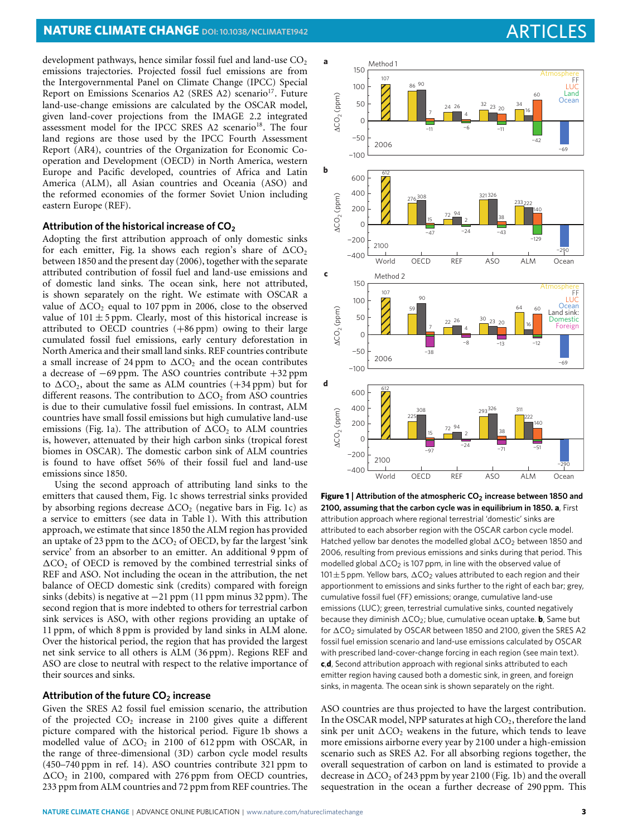development pathways, hence similar fossil fuel and land-use  $CO<sub>2</sub>$ emissions trajectories. Projected fossil fuel emissions are from the Intergovernmental Panel on Climate Change (IPCC) Special Report on Emissions Scenarios A2 (SRES A2) scenario<sup>[17](#page-4-15)</sup>. Future land-use-change emissions are calculated by the OSCAR model, given land-cover projections from the IMAGE 2.2 integrated assessment model for the IPCC SRES A2 scenario<sup>[18](#page-4-16)</sup>. The four land regions are those used by the IPCC Fourth Assessment Report (AR4), countries of the Organization for Economic Cooperation and Development (OECD) in North America, western Europe and Pacific developed, countries of Africa and Latin America (ALM), all Asian countries and Oceania (ASO) and the reformed economies of the former Soviet Union including eastern Europe (REF).

## **Attribution of the historical increase of CO<sup>2</sup>**

Adopting the first attribution approach of only domestic sinks for each emitter, [Fig.](#page-2-0) [1a](#page-2-0) shows each region's share of  $\Delta CO_2$ between 1850 and the present day (2006), together with the separate attributed contribution of fossil fuel and land-use emissions and of domestic land sinks. The ocean sink, here not attributed, is shown separately on the right. We estimate with OSCAR a value of  $\Delta CO_2$  equal to 107 ppm in 2006, close to the observed value of  $101 \pm 5$  ppm. Clearly, most of this historical increase is attributed to OECD countries  $(+86 \text{ ppm})$  owing to their large cumulated fossil fuel emissions, early century deforestation in North America and their small land sinks. REF countries contribute a small increase of 24 ppm to  $\Delta CO_2$  and the ocean contributes a decrease of −69 ppm. The ASO countries contribute +32 ppm to  $\Delta CO_2$ , about the same as ALM countries (+34 ppm) but for different reasons. The contribution to  $\Delta CO_2$  from ASO countries is due to their cumulative fossil fuel emissions. In contrast, ALM countries have small fossil emissions but high cumulative land-use emissions [\(Fig.](#page-2-0) [1a](#page-2-0)). The attribution of  $\Delta CO_2$  to ALM countries is, however, attenuated by their high carbon sinks (tropical forest biomes in OSCAR). The domestic carbon sink of ALM countries is found to have offset 56% of their fossil fuel and land-use emissions since 1850.

Using the second approach of attributing land sinks to the emitters that caused them, [Fig.](#page-2-0) [1c](#page-2-0) shows terrestrial sinks provided by absorbing regions decrease  $\Delta CO_2$  (negative bars in [Fig.](#page-2-0) [1c](#page-2-0)) as a service to emitters (see data in [Table](#page-1-0) [1\)](#page-1-0). With this attribution approach, we estimate that since 1850 the ALM region has provided an uptake of 23 ppm to the  $\Delta CO_2$  of OECD, by far the largest 'sink service' from an absorber to an emitter. An additional 9 ppm of  $\Delta CO_2$  of OECD is removed by the combined terrestrial sinks of REF and ASO. Not including the ocean in the attribution, the net balance of OECD domestic sink (credits) compared with foreign sinks (debits) is negative at −21 ppm (11 ppm minus 32 ppm). The second region that is more indebted to others for terrestrial carbon sink services is ASO, with other regions providing an uptake of 11 ppm, of which 8 ppm is provided by land sinks in ALM alone. Over the historical period, the region that has provided the largest net sink service to all others is ALM (36 ppm). Regions REF and ASO are close to neutral with respect to the relative importance of their sources and sinks.

#### **Attribution of the future CO<sup>2</sup> increase**

Given the SRES A2 fossil fuel emission scenario, the attribution of the projected  $CO<sub>2</sub>$  increase in 2100 gives quite a different picture compared with the historical period. [Figure](#page-2-0) [1b](#page-2-0) shows a modelled value of  $\Delta CO_2$  in 2100 of 612 ppm with OSCAR, in the range of three-dimensional (3D) carbon cycle model results (450–740 ppm in ref. [14\)](#page-4-12). ASO countries contribute 321 ppm to  $\Delta CO_2$  in 2100, compared with 276 ppm from OECD countries, 233 ppm from ALM countries and 72 ppm from REF countries. The



<span id="page-2-0"></span>**Figure 1** | **Attribution of the atmospheric CO<sup>2</sup> increase between 1850 and 2100, assuming that the carbon cycle was in equilibrium in 1850. a**, First attribution approach where regional terrestrial 'domestic' sinks are attributed to each absorber region with the OSCAR carbon cycle model. Hatched yellow bar denotes the modelled global  $\Delta CO_2$  between 1850 and 2006, resulting from previous emissions and sinks during that period. This modelled global  $\Delta CO_2$  is 107 ppm, in line with the observed value of  $101 \pm 5$  ppm. Yellow bars,  $\Delta CO_2$  values attributed to each region and their apportionment to emissions and sinks further to the right of each bar; grey, cumulative fossil fuel (FF) emissions; orange, cumulative land-use emissions (LUC); green, terrestrial cumulative sinks, counted negatively because they diminish  $\Delta CO_2$ ; blue, cumulative ocean uptake. **b**, Same but for  $\Delta$ CO<sub>2</sub> simulated by OSCAR between 1850 and 2100, given the SRES A2 fossil fuel emission scenario and land-use emissions calculated by OSCAR with prescribed land-cover-change forcing in each region (see main text). **c**,**d**, Second attribution approach with regional sinks attributed to each emitter region having caused both a domestic sink, in green, and foreign sinks, in magenta. The ocean sink is shown separately on the right.

ASO countries are thus projected to have the largest contribution. In the OSCAR model, NPP saturates at high CO<sub>2</sub>, therefore the land sink per unit  $\Delta CO_2$  weakens in the future, which tends to leave more emissions airborne every year by 2100 under a high-emission scenario such as SRES A2. For all absorbing regions together, the overall sequestration of carbon on land is estimated to provide a decrease in  $\Delta CO_2$  of 243 ppm by year 2100 [\(Fig.](#page-2-0) [1b](#page-2-0)) and the overall sequestration in the ocean a further decrease of 290 ppm. This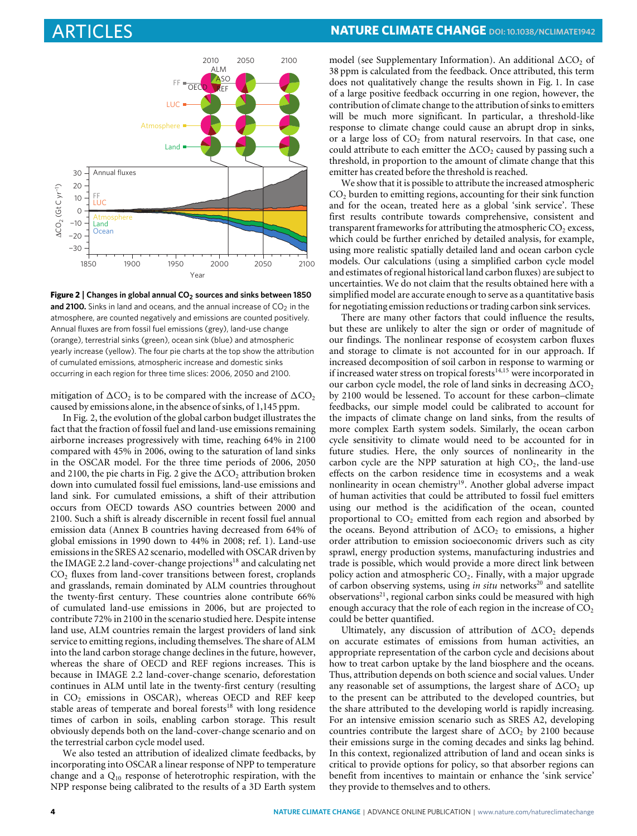

<span id="page-3-0"></span>**Figure 2** | **Changes in global annual CO<sup>2</sup> sources and sinks between 1850** and 2100. Sinks in land and oceans, and the annual increase of  $CO<sub>2</sub>$  in the atmosphere, are counted negatively and emissions are counted positively. Annual fluxes are from fossil fuel emissions (grey), land-use change (orange), terrestrial sinks (green), ocean sink (blue) and atmospheric yearly increase (yellow). The four pie charts at the top show the attribution of cumulated emissions, atmospheric increase and domestic sinks occurring in each region for three time slices: 2006, 2050 and 2100.

mitigation of  $\Delta CO_2$  is to be compared with the increase of  $\Delta CO_2$ caused by emissions alone, in the absence of sinks, of 1,145 ppm.

In [Fig.](#page-3-0) [2,](#page-3-0) the evolution of the global carbon budget illustrates the fact that the fraction of fossil fuel and land-use emissions remaining airborne increases progressively with time, reaching 64% in 2100 compared with 45% in 2006, owing to the saturation of land sinks in the OSCAR model. For the three time periods of 2006, 2050 and 2100, the pie charts in [Fig.](#page-3-0) [2](#page-3-0) give the  $\Delta CO_2$  attribution broken down into cumulated fossil fuel emissions, land-use emissions and land sink. For cumulated emissions, a shift of their attribution occurs from OECD towards ASO countries between 2000 and 2100. Such a shift is already discernible in recent fossil fuel annual emission data (Annex B countries having decreased from 64% of global emissions in 1990 down to 44% in 2008; ref. [1\)](#page-4-0). Land-use emissions in the SRES A2 scenario, modelled with OSCAR driven by the IMAGE 2.2 land-cover-change projections<sup>[18](#page-4-16)</sup> and calculating net CO<sub>2</sub> fluxes from land-cover transitions between forest, croplands and grasslands, remain dominated by ALM countries throughout the twenty-first century. These countries alone contribute 66% of cumulated land-use emissions in 2006, but are projected to contribute 72% in 2100 in the scenario studied here. Despite intense land use, ALM countries remain the largest providers of land sink service to emitting regions, including themselves. The share of ALM into the land carbon storage change declines in the future, however, whereas the share of OECD and REF regions increases. This is because in IMAGE 2.2 land-cover-change scenario, deforestation continues in ALM until late in the twenty-first century (resulting in  $CO<sub>2</sub>$  emissions in OSCAR), whereas OECD and REF keep stable areas of temperate and boreal forests<sup>[18](#page-4-16)</sup> with long residence times of carbon in soils, enabling carbon storage. This result obviously depends both on the land-cover-change scenario and on the terrestrial carbon cycle model used.

We also tested an attribution of idealized climate feedbacks, by incorporating into OSCAR a linear response of NPP to temperature change and a  $Q_{10}$  response of heterotrophic respiration, with the NPP response being calibrated to the results of a 3D Earth system

model (see Supplementary Information). An additional  $\Delta CO_2$  of 38 ppm is calculated from the feedback. Once attributed, this term does not qualitatively change the results shown in [Fig.](#page-2-0) [1.](#page-2-0) In case of a large positive feedback occurring in one region, however, the contribution of climate change to the attribution of sinks to emitters will be much more significant. In particular, a threshold-like response to climate change could cause an abrupt drop in sinks, or a large loss of  $CO<sub>2</sub>$  from natural reservoirs. In that case, one could attribute to each emitter the  $\Delta CO_2$  caused by passing such a threshold, in proportion to the amount of climate change that this emitter has created before the threshold is reached.

We show that it is possible to attribute the increased atmospheric  $CO<sub>2</sub>$  burden to emitting regions, accounting for their sink function and for the ocean, treated here as a global 'sink service'. These first results contribute towards comprehensive, consistent and transparent frameworks for attributing the atmospheric  $CO<sub>2</sub>$  excess, which could be further enriched by detailed analysis, for example, using more realistic spatially detailed land and ocean carbon cycle models. Our calculations (using a simplified carbon cycle model and estimates of regional historical land carbon fluxes) are subject to uncertainties. We do not claim that the results obtained here with a simplified model are accurate enough to serve as a quantitative basis for negotiating emission reductions or trading carbon sink services.

There are many other factors that could influence the results, but these are unlikely to alter the sign or order of magnitude of our findings. The nonlinear response of ecosystem carbon fluxes and storage to climate is not accounted for in our approach. If increased decomposition of soil carbon in response to warming or if increased water stress on tropical forests<sup>[14,](#page-4-12)[15](#page-4-13)</sup> were incorporated in our carbon cycle model, the role of land sinks in decreasing  $\Delta CO<sub>2</sub>$ by 2100 would be lessened. To account for these carbon–climate feedbacks, our simple model could be calibrated to account for the impacts of climate change on land sinks, from the results of more complex Earth system sodels. Similarly, the ocean carbon cycle sensitivity to climate would need to be accounted for in future studies. Here, the only sources of nonlinearity in the carbon cycle are the NPP saturation at high  $CO<sub>2</sub>$ , the land-use effects on the carbon residence time in ecosystems and a weak nonlinearity in ocean chemistry<sup>[19](#page-4-17)</sup>. Another global adverse impact of human activities that could be attributed to fossil fuel emitters using our method is the acidification of the ocean, counted proportional to  $CO<sub>2</sub>$  emitted from each region and absorbed by the oceans. Beyond attribution of  $\Delta CO_2$  to emissions, a higher order attribution to emission socioeconomic drivers such as city sprawl, energy production systems, manufacturing industries and trade is possible, which would provide a more direct link between policy action and atmospheric  $CO<sub>2</sub>$ . Finally, with a major upgrade of carbon observing systems, using *in situ* networks<sup>[20](#page-4-18)</sup> and satellite observations<sup>[21](#page-4-19)</sup>, regional carbon sinks could be measured with high enough accuracy that the role of each region in the increase of  $CO<sub>2</sub>$ could be better quantified.

Ultimately, any discussion of attribution of  $\Delta CO_2$  depends on accurate estimates of emissions from human activities, an appropriate representation of the carbon cycle and decisions about how to treat carbon uptake by the land biosphere and the oceans. Thus, attribution depends on both science and social values. Under any reasonable set of assumptions, the largest share of  $\Delta CO_2$  up to the present can be attributed to the developed countries, but the share attributed to the developing world is rapidly increasing. For an intensive emission scenario such as SRES A2, developing countries contribute the largest share of  $\Delta CO_2$  by 2100 because their emissions surge in the coming decades and sinks lag behind. In this context, regionalized attribution of land and ocean sinks is critical to provide options for policy, so that absorber regions can benefit from incentives to maintain or enhance the 'sink service' they provide to themselves and to others.